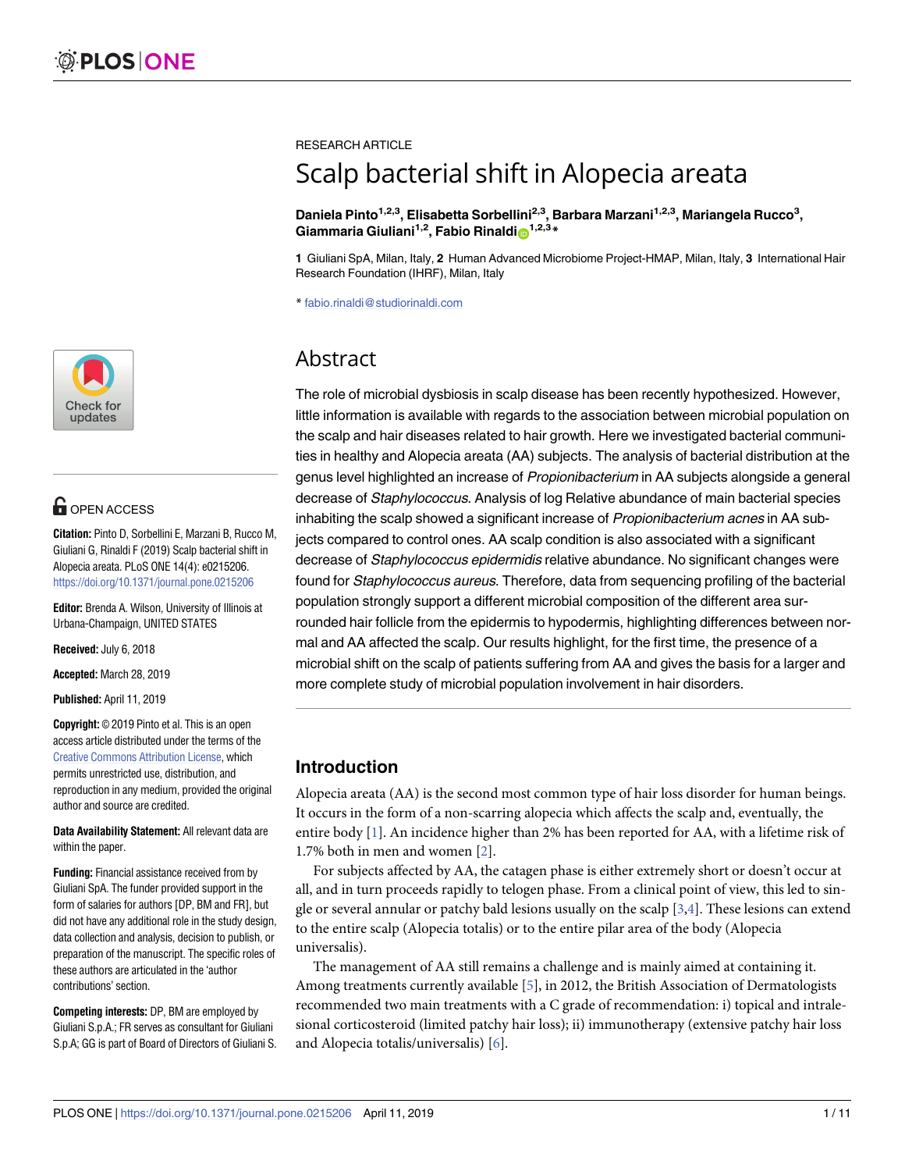

# **G** OPEN ACCESS

**Citation:** Pinto D, Sorbellini E, Marzani B, Rucco M, Giuliani G, Rinaldi F (2019) Scalp bacterial shift in Alopecia areata. PLoS ONE 14(4): e0215206. <https://doi.org/10.1371/journal.pone.0215206>

**Editor:** Brenda A. Wilson, University of Illinois at Urbana-Champaign, UNITED STATES

**Received:** July 6, 2018

**Accepted:** March 28, 2019

**Published:** April 11, 2019

**Copyright:** © 2019 Pinto et al. This is an open access article distributed under the terms of the Creative Commons [Attribution](http://creativecommons.org/licenses/by/4.0/) License, which permits unrestricted use, distribution, and reproduction in any medium, provided the original author and source are credited.

**Data Availability Statement:** All relevant data are within the paper.

**Funding:** Financial assistance received from by Giuliani SpA. The funder provided support in the form of salaries for authors [DP, BM and FR], but did not have any additional role in the study design, data collection and analysis, decision to publish, or preparation of the manuscript. The specific roles of these authors are articulated in the 'author contributions' section.

**Competing interests:** DP, BM are employed by Giuliani S.p.A.; FR serves as consultant for Giuliani S.p.A; GG is part of Board of Directors of Giuliani S. <span id="page-0-0"></span>RESEARCH ARTICLE

# Scalp bacterial shift in Alopecia areata

**Daniela Pinto1,2,3, Elisabetta Sorbellini2,3, Barbara Marzani1,2,3, Mariangela Rucco3 , Giammaria Giuliani<sup>1,2</sup>, Fabio Rinaldi**<sup>1,2,3</sup><sup>\*</sup>

**1** Giuliani SpA, Milan, Italy, **2** Human Advanced Microbiome Project-HMAP, Milan, Italy, **3** International Hair Research Foundation (IHRF), Milan, Italy

\* fabio.rinaldi@studiorinaldi.com

# Abstract

The role of microbial dysbiosis in scalp disease has been recently hypothesized. However, little information is available with regards to the association between microbial population on the scalp and hair diseases related to hair growth. Here we investigated bacterial communities in healthy and Alopecia areata (AA) subjects. The analysis of bacterial distribution at the genus level highlighted an increase of Propionibacterium in AA subjects alongside a general decrease of Staphylococcus. Analysis of log Relative abundance of main bacterial species inhabiting the scalp showed a significant increase of *Propionibacterium acnes* in AA subjects compared to control ones. AA scalp condition is also associated with a significant decrease of Staphylococcus epidermidis relative abundance. No significant changes were found for Staphylococcus aureus. Therefore, data from sequencing profiling of the bacterial population strongly support a different microbial composition of the different area surrounded hair follicle from the epidermis to hypodermis, highlighting differences between normal and AA affected the scalp. Our results highlight, for the first time, the presence of a microbial shift on the scalp of patients suffering from AA and gives the basis for a larger and more complete study of microbial population involvement in hair disorders.

# **Introduction**

Alopecia areata (AA) is the second most common type of hair loss disorder for human beings. It occurs in the form of a non-scarring alopecia which affects the scalp and, eventually, the entire body [\[1\]](#page-7-0). An incidence higher than 2% has been reported for AA, with a lifetime risk of 1.7% both in men and women [\[2](#page-7-0)].

For subjects affected by AA, the catagen phase is either extremely short or doesn't occur at all, and in turn proceeds rapidly to telogen phase. From a clinical point of view, this led to single or several annular or patchy bald lesions usually on the scalp [\[3,4](#page-7-0)]. These lesions can extend to the entire scalp (Alopecia totalis) or to the entire pilar area of the body (Alopecia universalis).

The management of AA still remains a challenge and is mainly aimed at containing it. Among treatments currently available [\[5](#page-7-0)], in 2012, the British Association of Dermatologists recommended two main treatments with a C grade of recommendation: i) topical and intralesional corticosteroid (limited patchy hair loss); ii) immunotherapy (extensive patchy hair loss and Alopecia totalis/universalis) [[6](#page-7-0)].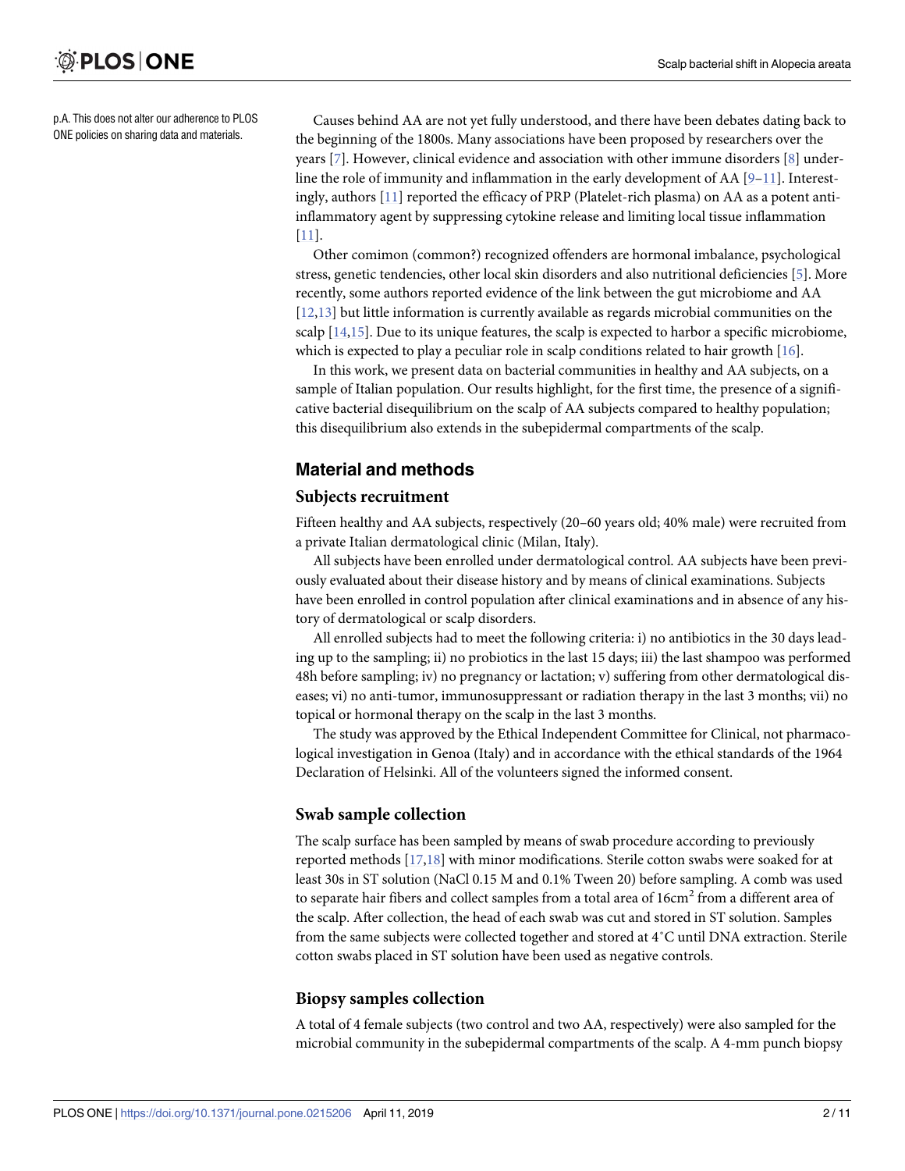<span id="page-1-0"></span>p.A. This does not alter our adherence to PLOS ONE policies on sharing data and materials.

Causes behind AA are not yet fully understood, and there have been debates dating back to the beginning of the 1800s. Many associations have been proposed by researchers over the years [\[7\]](#page-7-0). However, clinical evidence and association with other immune disorders [\[8](#page-8-0)] underline the role of immunity and inflammation in the early development of AA  $[9-11]$ . Interestingly, authors [\[11\]](#page-8-0) reported the efficacy of PRP (Platelet-rich plasma) on AA as a potent antiinflammatory agent by suppressing cytokine release and limiting local tissue inflammation [\[11\]](#page-8-0).

Other comimon (common?) recognized offenders are hormonal imbalance, psychological stress, genetic tendencies, other local skin disorders and also nutritional deficiencies [[5\]](#page-7-0). More recently, some authors reported evidence of the link between the gut microbiome and AA [\[12,13\]](#page-8-0) but little information is currently available as regards microbial communities on the scalp  $[14,15]$ . Due to its unique features, the scalp is expected to harbor a specific microbiome, which is expected to play a peculiar role in scalp conditions related to hair growth [[16](#page-8-0)].

In this work, we present data on bacterial communities in healthy and AA subjects, on a sample of Italian population. Our results highlight, for the first time, the presence of a significative bacterial disequilibrium on the scalp of AA subjects compared to healthy population; this disequilibrium also extends in the subepidermal compartments of the scalp.

# **Material and methods**

### **Subjects recruitment**

Fifteen healthy and AA subjects, respectively (20–60 years old; 40% male) were recruited from a private Italian dermatological clinic (Milan, Italy).

All subjects have been enrolled under dermatological control. AA subjects have been previously evaluated about their disease history and by means of clinical examinations. Subjects have been enrolled in control population after clinical examinations and in absence of any history of dermatological or scalp disorders.

All enrolled subjects had to meet the following criteria: i) no antibiotics in the 30 days leading up to the sampling; ii) no probiotics in the last 15 days; iii) the last shampoo was performed 48h before sampling; iv) no pregnancy or lactation; v) suffering from other dermatological diseases; vi) no anti-tumor, immunosuppressant or radiation therapy in the last 3 months; vii) no topical or hormonal therapy on the scalp in the last 3 months.

The study was approved by the Ethical Independent Committee for Clinical, not pharmacological investigation in Genoa (Italy) and in accordance with the ethical standards of the 1964 Declaration of Helsinki. All of the volunteers signed the informed consent.

# **Swab sample collection**

The scalp surface has been sampled by means of swab procedure according to previously reported methods [[17](#page-8-0),[18](#page-8-0)] with minor modifications. Sterile cotton swabs were soaked for at least 30s in ST solution (NaCl 0.15 M and 0.1% Tween 20) before sampling. A comb was used to separate hair fibers and collect samples from a total area of  $16 \text{cm}^2$  from a different area of the scalp. After collection, the head of each swab was cut and stored in ST solution. Samples from the same subjects were collected together and stored at 4˚C until DNA extraction. Sterile cotton swabs placed in ST solution have been used as negative controls.

# **Biopsy samples collection**

A total of 4 female subjects (two control and two AA, respectively) were also sampled for the microbial community in the subepidermal compartments of the scalp. A 4-mm punch biopsy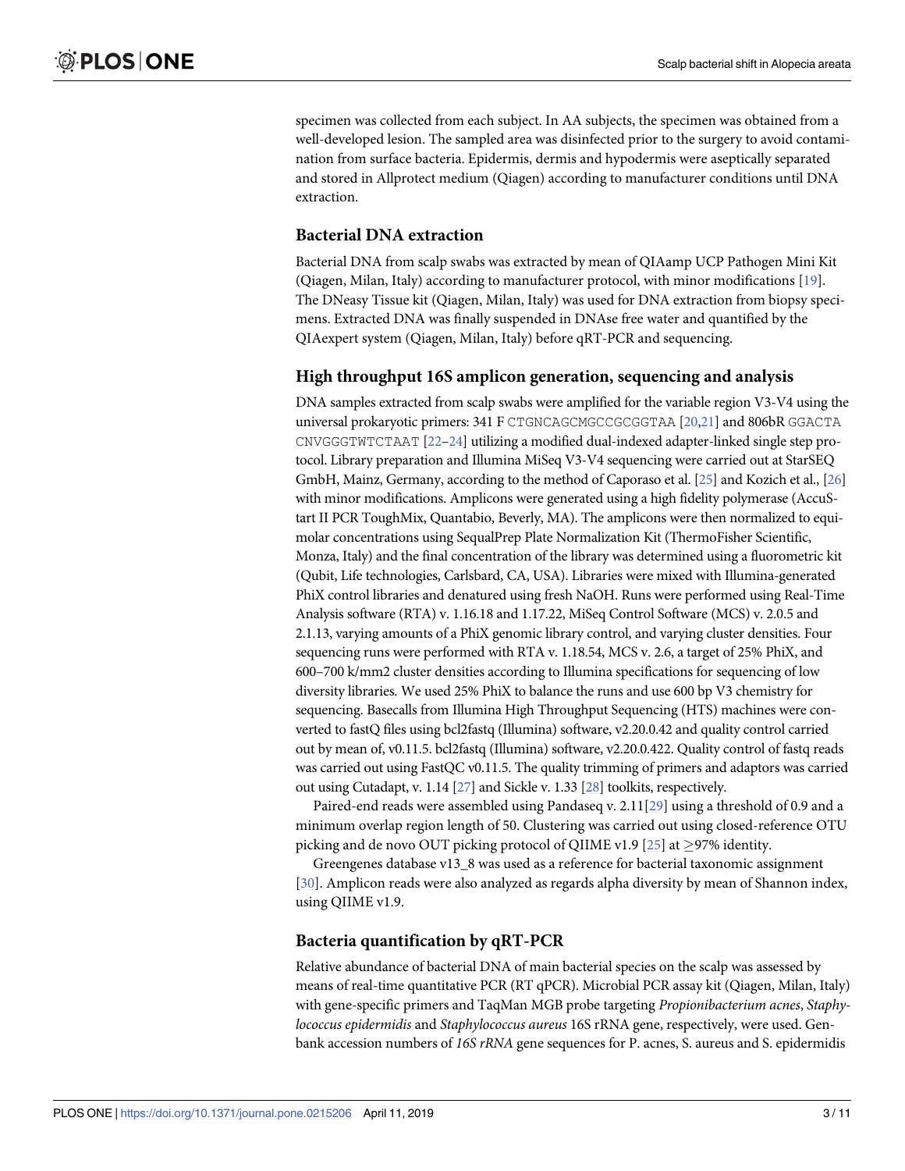<span id="page-2-0"></span>specimen was collected from each subject. In AA subjects, the specimen was obtained from a well-developed lesion. The sampled area was disinfected prior to the surgery to avoid contamination from surface bacteria. Epidermis, dermis and hypodermis were aseptically separated and stored in Allprotect medium (Qiagen) according to manufacturer conditions until DNA extraction.

# **Bacterial DNA extraction**

Bacterial DNA from scalp swabs was extracted by mean of QIAamp UCP Pathogen Mini Kit (Qiagen, Milan, Italy) according to manufacturer protocol, with minor modifications [[19](#page-8-0)]. The DNeasy Tissue kit (Qiagen, Milan, Italy) was used for DNA extraction from biopsy specimens. Extracted DNA was finally suspended in DNAse free water and quantified by the QIAexpert system (Qiagen, Milan, Italy) before qRT-PCR and sequencing.

#### **High throughput 16S amplicon generation, sequencing and analysis**

DNA samples extracted from scalp swabs were amplified for the variable region V3-V4 using the universal prokaryotic primers: 341 F CTGNCAGCMGCCGCGGTAA [\[20,21\]](#page-8-0) and 806bR GGACTA CNVGGGTWTCTAAT [[22–24](#page-8-0)] utilizing a modified dual-indexed adapter-linked single step protocol. Library preparation and Illumina MiSeq V3-V4 sequencing were carried out at StarSEQ GmbH, Mainz, Germany, according to the method of Caporaso et al. [\[25](#page-8-0)] and Kozich et al., [\[26](#page-8-0)] with minor modifications. Amplicons were generated using a high fidelity polymerase (AccuStart II PCR ToughMix, Quantabio, Beverly, MA). The amplicons were then normalized to equimolar concentrations using SequalPrep Plate Normalization Kit (ThermoFisher Scientific, Monza, Italy) and the final concentration of the library was determined using a fluorometric kit (Qubit, Life technologies, Carlsbard, CA, USA). Libraries were mixed with Illumina-generated PhiX control libraries and denatured using fresh NaOH. Runs were performed using Real-Time Analysis software (RTA) v. 1.16.18 and 1.17.22, MiSeq Control Software (MCS) v. 2.0.5 and 2.1.13, varying amounts of a PhiX genomic library control, and varying cluster densities. Four sequencing runs were performed with RTA v. 1.18.54, MCS v. 2.6, a target of 25% PhiX, and 600–700 k/mm2 cluster densities according to Illumina specifications for sequencing of low diversity libraries. We used 25% PhiX to balance the runs and use 600 bp V3 chemistry for sequencing. Basecalls from Illumina High Throughput Sequencing (HTS) machines were converted to fastQ files using bcl2fastq (Illumina) software, v2.20.0.42 and quality control carried out by mean of, v0.11.5. bcl2fastq (Illumina) software, v2.20.0.422. Quality control of fastq reads was carried out using FastQC v0.11.5. The quality trimming of primers and adaptors was carried out using Cutadapt, v. 1.14 [\[27\]](#page-8-0) and Sickle v. 1.33 [\[28\]](#page-8-0) toolkits, respectively.

Paired-end reads were assembled using Pandaseq v. 2.11[\[29\]](#page-9-0) using a threshold of 0.9 and a minimum overlap region length of 50. Clustering was carried out using closed-reference OTU picking and de novo OUT picking protocol of QIIME v1.9 [[25](#page-8-0)] at  $\geq$ 97% identity.

Greengenes database v13\_8 was used as a reference for bacterial taxonomic assignment [\[30\]](#page-9-0). Amplicon reads were also analyzed as regards alpha diversity by mean of Shannon index, using QIIME v1.9.

#### **Bacteria quantification by qRT-PCR**

Relative abundance of bacterial DNA of main bacterial species on the scalp was assessed by means of real-time quantitative PCR (RT qPCR). Microbial PCR assay kit (Qiagen, Milan, Italy) with gene-specific primers and TaqMan MGB probe targeting *Propionibacterium acnes*, *Staphylococcus epidermidis* and *Staphylococcus aureus* 16S rRNA gene, respectively, were used. Genbank accession numbers of *16S rRNA* gene sequences for P. acnes, S. aureus and S. epidermidis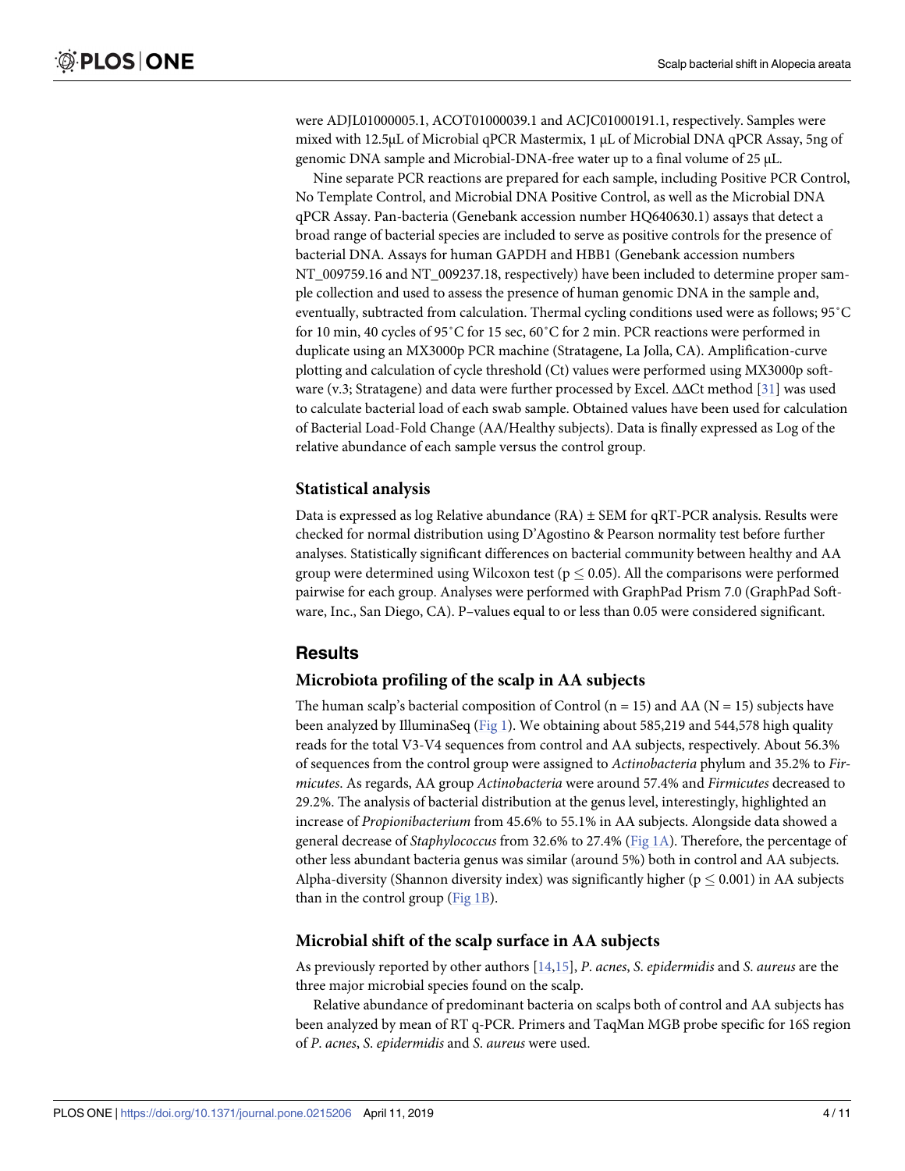<span id="page-3-0"></span>were ADJL01000005.1, ACOT01000039.1 and ACJC01000191.1, respectively. Samples were mixed with 12.5μL of Microbial qPCR Mastermix, 1 μL of Microbial DNA qPCR Assay, 5ng of genomic DNA sample and Microbial-DNA-free water up to a final volume of 25 μL.

Nine separate PCR reactions are prepared for each sample, including Positive PCR Control, No Template Control, and Microbial DNA Positive Control, as well as the Microbial DNA qPCR Assay. Pan-bacteria (Genebank accession number HQ640630.1) assays that detect a broad range of bacterial species are included to serve as positive controls for the presence of bacterial DNA. Assays for human GAPDH and HBB1 (Genebank accession numbers NT\_009759.16 and NT\_009237.18, respectively) have been included to determine proper sample collection and used to assess the presence of human genomic DNA in the sample and, eventually, subtracted from calculation. Thermal cycling conditions used were as follows; 95˚C for 10 min, 40 cycles of 95˚C for 15 sec, 60˚C for 2 min. PCR reactions were performed in duplicate using an MX3000p PCR machine (Stratagene, La Jolla, CA). Amplification-curve plotting and calculation of cycle threshold (Ct) values were performed using MX3000p software (v.3; Stratagene) and data were further processed by Excel. ΔΔCt method [\[31\]](#page-9-0) was used to calculate bacterial load of each swab sample. Obtained values have been used for calculation of Bacterial Load-Fold Change (AA/Healthy subjects). Data is finally expressed as Log of the relative abundance of each sample versus the control group.

#### **Statistical analysis**

Data is expressed as log Relative abundance  $(RA) \pm SEM$  for qRT-PCR analysis. Results were checked for normal distribution using D'Agostino & Pearson normality test before further analyses. Statistically significant differences on bacterial community between healthy and AA group were determined using Wilcoxon test ( $p \le 0.05$ ). All the comparisons were performed pairwise for each group. Analyses were performed with GraphPad Prism 7.0 (GraphPad Software, Inc., San Diego, CA). P–values equal to or less than 0.05 were considered significant.

# **Results**

#### **Microbiota profiling of the scalp in AA subjects**

The human scalp's bacterial composition of Control ( $n = 15$ ) and AA ( $N = 15$ ) subjects have been analyzed by IlluminaSeq [\(Fig](#page-4-0) 1). We obtaining about 585,219 and 544,578 high quality reads for the total V3-V4 sequences from control and AA subjects, respectively. About 56.3% of sequences from the control group were assigned to *Actinobacteria* phylum and 35.2% to *Firmicutes*. As regards, AA group *Actinobacteria* were around 57.4% and *Firmicutes* decreased to 29.2%. The analysis of bacterial distribution at the genus level, interestingly, highlighted an increase of *Propionibacterium* from 45.6% to 55.1% in AA subjects. Alongside data showed a general decrease of *Staphylococcus* from 32.6% to 27.4% ([Fig](#page-4-0) 1A). Therefore, the percentage of other less abundant bacteria genus was similar (around 5%) both in control and AA subjects. Alpha-diversity (Shannon diversity index) was significantly higher ( $p \le 0.001$ ) in AA subjects than in the control group [\(Fig](#page-4-0) 1B).

#### **Microbial shift of the scalp surface in AA subjects**

As previously reported by other authors [[14](#page-8-0),[15](#page-8-0)], *P*. *acnes*, *S*. *epidermidis* and *S*. *aureus* are the three major microbial species found on the scalp.

Relative abundance of predominant bacteria on scalps both of control and AA subjects has been analyzed by mean of RT q-PCR. Primers and TaqMan MGB probe specific for 16S region of *P*. *acnes*, *S*. *epidermidis* and *S*. *aureus* were used.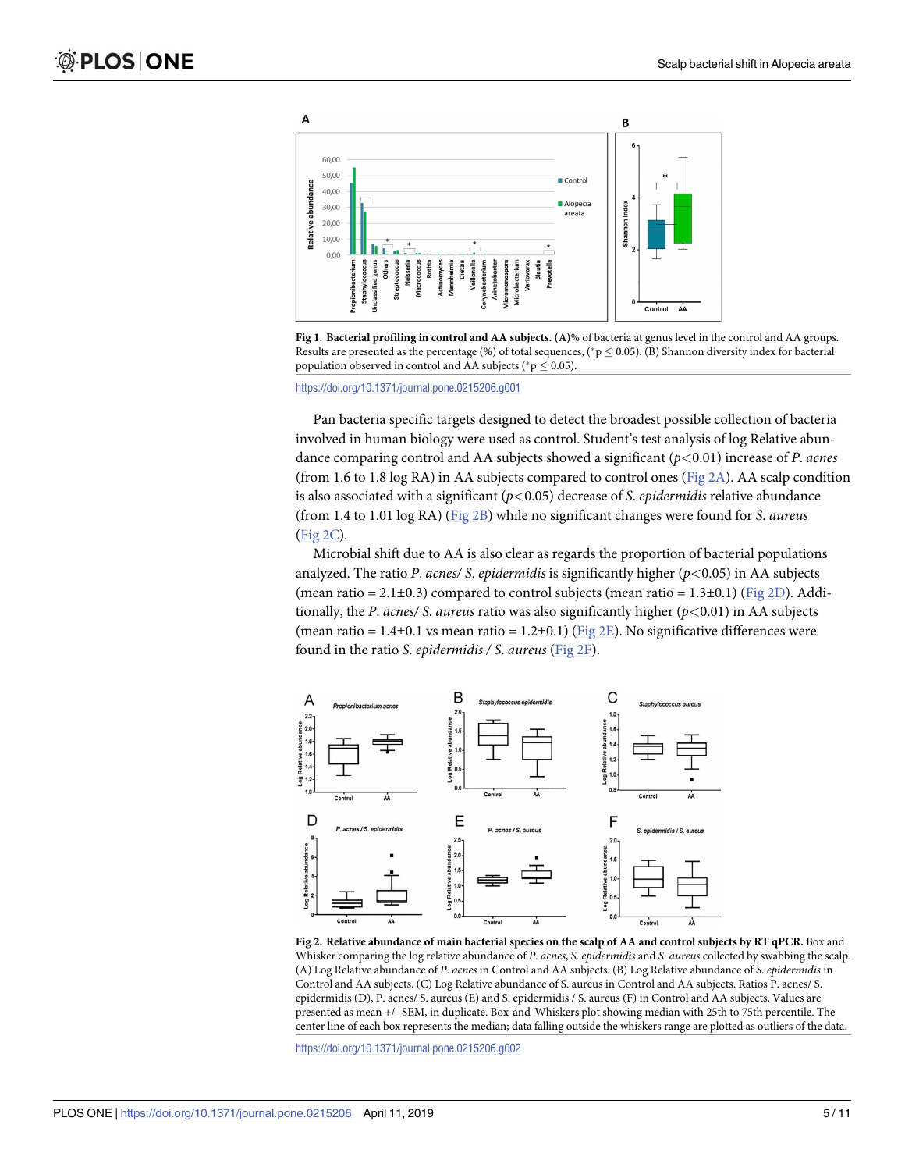<span id="page-4-0"></span>



<https://doi.org/10.1371/journal.pone.0215206.g001>

Pan bacteria specific targets designed to detect the broadest possible collection of bacteria involved in human biology were used as control. Student's test analysis of log Relative abundance comparing control and AA subjects showed a significant (*p<*0.01) increase of *P*. *acnes* (from 1.6 to 1.8 log RA) in AA subjects compared to control ones (Fig  $2A$ ). AA scalp condition is also associated with a significant (*p<*0.05) decrease of *S*. *epidermidis* relative abundance (from 1.4 to 1.01 log RA) (Fig 2B) while no significant changes were found for *S*. *aureus* (Fig 2C).

Microbial shift due to AA is also clear as regards the proportion of bacterial populations analyzed. The ratio *P*. *acnes/ S*. *epidermidis* is significantly higher (*p<*0.05) in AA subjects (mean ratio =  $2.1\pm0.3$ ) compared to control subjects (mean ratio =  $1.3\pm0.1$ ) (Fig 2D). Additionally, the *P*. *acnes/ S*. *aureus* ratio was also significantly higher (*p<*0.01) in AA subjects (mean ratio =  $1.4\pm0.1$  vs mean ratio =  $1.2\pm0.1$ ) (Fig 2E). No significative differences were found in the ratio *S*. *epidermidis / S*. *aureus* (Fig 2F).



Fig 2. Relative abundance of main bacterial species on the scalp of AA and control subjects by RT qPCR. Box and Whisker comparing the log relative abundance of *P*. *acnes*, *S*. *epidermidis* and *S*. *aureus* collected by swabbing the scalp. (A) Log Relative abundance of *P*. *acnes* in Control and AA subjects. (B) Log Relative abundance of *S*. *epidermidis* in Control and AA subjects. (C) Log Relative abundance of S. aureus in Control and AA subjects. Ratios P. acnes/ S. epidermidis (D), P. acnes/ S. aureus (E) and S. epidermidis / S. aureus (F) in Control and AA subjects. Values are presented as mean +/- SEM, in duplicate. Box-and-Whiskers plot showing median with 25th to 75th percentile. The center line of each box represents the median; data falling outside the whiskers range are plotted as outliers of the data.

<https://doi.org/10.1371/journal.pone.0215206.g002>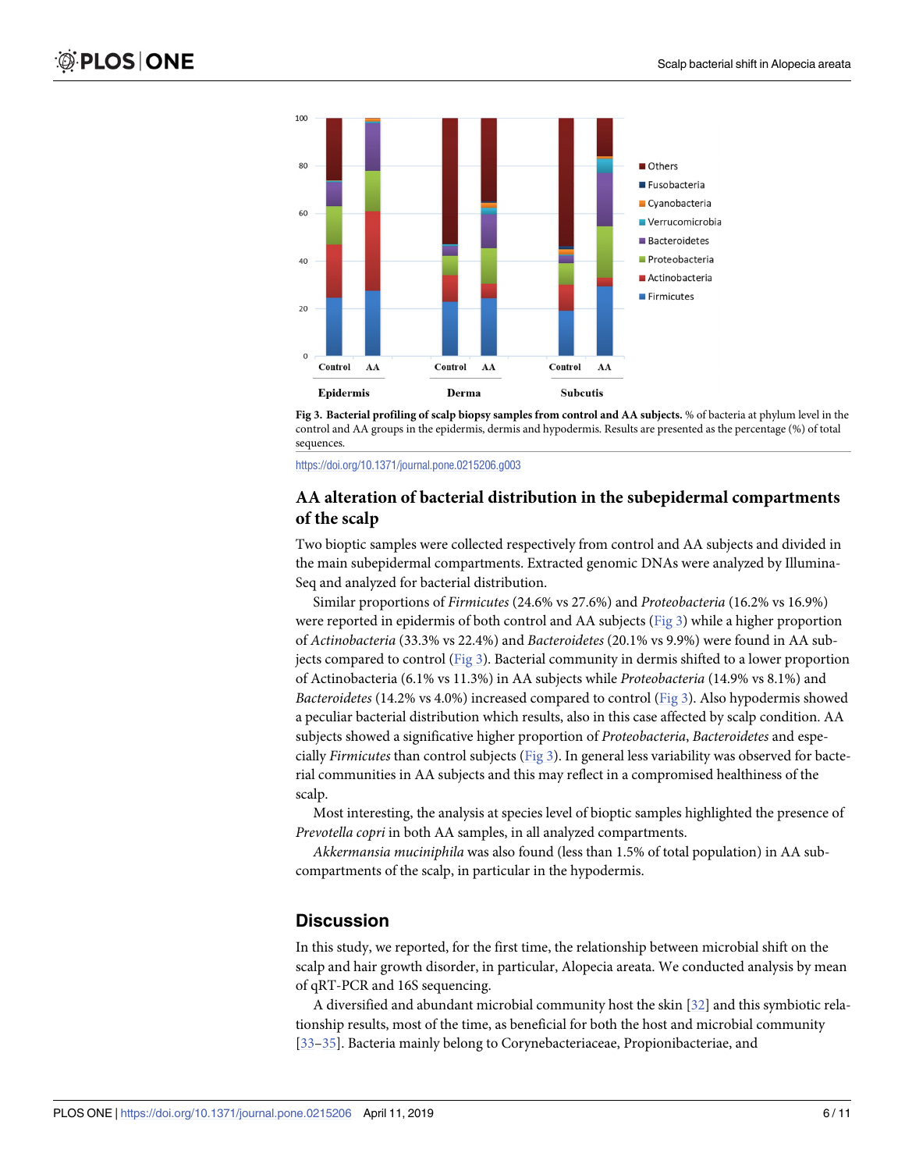<span id="page-5-0"></span>



<https://doi.org/10.1371/journal.pone.0215206.g003>

### **AA alteration of bacterial distribution in the subepidermal compartments of the scalp**

Two bioptic samples were collected respectively from control and AA subjects and divided in the main subepidermal compartments. Extracted genomic DNAs were analyzed by Illumina-Seq and analyzed for bacterial distribution.

Similar proportions of *Firmicutes* (24.6% vs 27.6%) and *Proteobacteria* (16.2% vs 16.9%) were reported in epidermis of both control and AA subjects (Fig 3) while a higher proportion of *Actinobacteria* (33.3% vs 22.4%) and *Bacteroidetes* (20.1% vs 9.9%) were found in AA subjects compared to control (Fig  $3$ ). Bacterial community in dermis shifted to a lower proportion of Actinobacteria (6.1% vs 11.3%) in AA subjects while *Proteobacteria* (14.9% vs 8.1%) and *Bacteroidetes* (14.2% vs 4.0%) increased compared to control (Fig 3). Also hypodermis showed a peculiar bacterial distribution which results, also in this case affected by scalp condition. AA subjects showed a significative higher proportion of *Proteobacteria*, *Bacteroidetes* and especially *Firmicutes* than control subjects (Fig 3). In general less variability was observed for bacterial communities in AA subjects and this may reflect in a compromised healthiness of the scalp.

Most interesting, the analysis at species level of bioptic samples highlighted the presence of *Prevotella copri* in both AA samples, in all analyzed compartments.

*Akkermansia muciniphila* was also found (less than 1.5% of total population) in AA subcompartments of the scalp, in particular in the hypodermis.

# **Discussion**

In this study, we reported, for the first time, the relationship between microbial shift on the scalp and hair growth disorder, in particular, Alopecia areata. We conducted analysis by mean of qRT-PCR and 16S sequencing.

A diversified and abundant microbial community host the skin [[32](#page-9-0)] and this symbiotic relationship results, most of the time, as beneficial for both the host and microbial community [\[33–35\]](#page-9-0). Bacteria mainly belong to Corynebacteriaceae, Propionibacteriae, and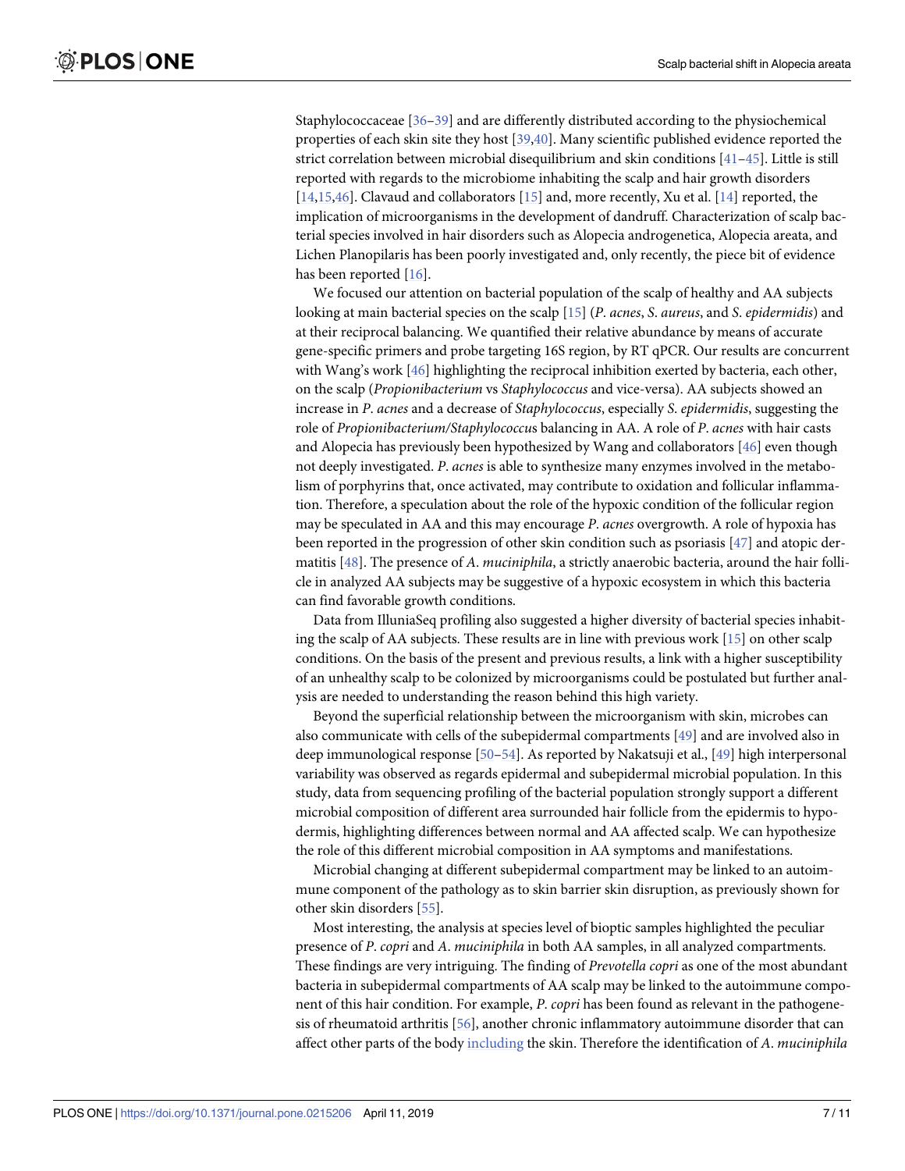<span id="page-6-0"></span>Staphylococcaceae [\[36–39\]](#page-9-0) and are differently distributed according to the physiochemical properties of each skin site they host [[39,40\]](#page-9-0). Many scientific published evidence reported the strict correlation between microbial disequilibrium and skin conditions [[41](#page-9-0)–[45](#page-9-0)]. Little is still reported with regards to the microbiome inhabiting the scalp and hair growth disorders [\[14,15,](#page-8-0)[46](#page-9-0)]. Clavaud and collaborators [\[15\]](#page-8-0) and, more recently, Xu et al. [[14](#page-8-0)] reported, the implication of microorganisms in the development of dandruff. Characterization of scalp bacterial species involved in hair disorders such as Alopecia androgenetica, Alopecia areata, and Lichen Planopilaris has been poorly investigated and, only recently, the piece bit of evidence has been reported [[16](#page-8-0)].

We focused our attention on bacterial population of the scalp of healthy and AA subjects looking at main bacterial species on the scalp [\[15\]](#page-8-0) (*P*. *acnes*, *S*. *aureus*, and *S*. *epidermidis*) and at their reciprocal balancing. We quantified their relative abundance by means of accurate gene-specific primers and probe targeting 16S region, by RT qPCR. Our results are concurrent with Wang's work [\[46\]](#page-9-0) highlighting the reciprocal inhibition exerted by bacteria, each other, on the scalp (*Propionibacterium* vs *Staphylococcus* and vice-versa). AA subjects showed an increase in *P*. *acnes* and a decrease of *Staphylococcus*, especially *S*. *epidermidis*, suggesting the role of *Propionibacterium/Staphylococcu*s balancing in AA. A role of *P*. *acnes* with hair casts and Alopecia has previously been hypothesized by Wang and collaborators [[46](#page-9-0)] even though not deeply investigated. *P*. *acnes* is able to synthesize many enzymes involved in the metabolism of porphyrins that, once activated, may contribute to oxidation and follicular inflammation. Therefore, a speculation about the role of the hypoxic condition of the follicular region may be speculated in AA and this may encourage *P*. *acnes* overgrowth. A role of hypoxia has been reported in the progression of other skin condition such as psoriasis [[47](#page-9-0)] and atopic dermatitis [\[48\]](#page-9-0). The presence of *A*. *muciniphila*, a strictly anaerobic bacteria, around the hair follicle in analyzed AA subjects may be suggestive of a hypoxic ecosystem in which this bacteria can find favorable growth conditions.

Data from IlluniaSeq profiling also suggested a higher diversity of bacterial species inhabiting the scalp of AA subjects. These results are in line with previous work [\[15\]](#page-8-0) on other scalp conditions. On the basis of the present and previous results, a link with a higher susceptibility of an unhealthy scalp to be colonized by microorganisms could be postulated but further analysis are needed to understanding the reason behind this high variety.

Beyond the superficial relationship between the microorganism with skin, microbes can also communicate with cells of the subepidermal compartments [\[49\]](#page-9-0) and are involved also in deep immunological response [[50](#page-10-0)-[54\]](#page-10-0). As reported by Nakatsuji et al., [[49](#page-9-0)] high interpersonal variability was observed as regards epidermal and subepidermal microbial population. In this study, data from sequencing profiling of the bacterial population strongly support a different microbial composition of different area surrounded hair follicle from the epidermis to hypodermis, highlighting differences between normal and AA affected scalp. We can hypothesize the role of this different microbial composition in AA symptoms and manifestations.

Microbial changing at different subepidermal compartment may be linked to an autoimmune component of the pathology as to skin barrier skin disruption, as previously shown for other skin disorders [\[55\]](#page-10-0).

Most interesting, the analysis at species level of bioptic samples highlighted the peculiar presence of *P*. *copri* and *A*. *muciniphila* in both AA samples, in all analyzed compartments. These findings are very intriguing. The finding of *Prevotella copri* as one of the most abundant bacteria in subepidermal compartments of AA scalp may be linked to the autoimmune component of this hair condition. For example, *P*. *copri* has been found as relevant in the pathogenesis of rheumatoid arthritis [\[56\]](#page-10-0), another chronic inflammatory autoimmune disorder that can affect other parts of the body [including](https://www.arthritis.org/about-arthritis/types/rheumatoid-arthritis/articles/lung-disease-rheumatoid-arthritis.php) the skin. Therefore the identification of *A*. *muciniphila*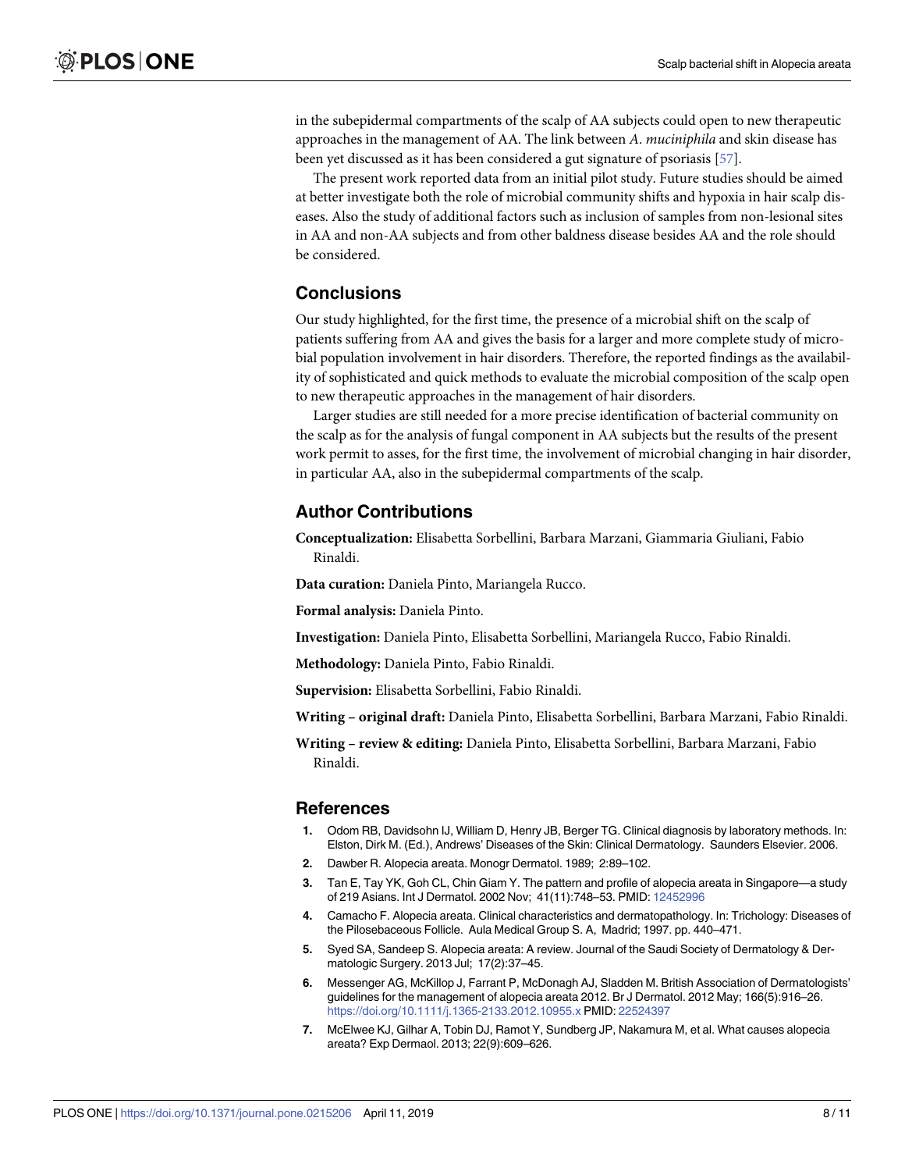<span id="page-7-0"></span>in the subepidermal compartments of the scalp of AA subjects could open to new therapeutic approaches in the management of AA. The link between *A*. *muciniphila* and skin disease has been yet discussed as it has been considered a gut signature of psoriasis [[57](#page-10-0)].

The present work reported data from an initial pilot study. Future studies should be aimed at better investigate both the role of microbial community shifts and hypoxia in hair scalp diseases. Also the study of additional factors such as inclusion of samples from non-lesional sites in AA and non-AA subjects and from other baldness disease besides AA and the role should be considered.

# **Conclusions**

Our study highlighted, for the first time, the presence of a microbial shift on the scalp of patients suffering from AA and gives the basis for a larger and more complete study of microbial population involvement in hair disorders. Therefore, the reported findings as the availability of sophisticated and quick methods to evaluate the microbial composition of the scalp open to new therapeutic approaches in the management of hair disorders.

Larger studies are still needed for a more precise identification of bacterial community on the scalp as for the analysis of fungal component in AA subjects but the results of the present work permit to asses, for the first time, the involvement of microbial changing in hair disorder, in particular AA, also in the subepidermal compartments of the scalp.

# **Author Contributions**

**Conceptualization:** Elisabetta Sorbellini, Barbara Marzani, Giammaria Giuliani, Fabio Rinaldi.

**Data curation:** Daniela Pinto, Mariangela Rucco.

**Formal analysis:** Daniela Pinto.

**Investigation:** Daniela Pinto, Elisabetta Sorbellini, Mariangela Rucco, Fabio Rinaldi.

**Methodology:** Daniela Pinto, Fabio Rinaldi.

**Supervision:** Elisabetta Sorbellini, Fabio Rinaldi.

**Writing – original draft:** Daniela Pinto, Elisabetta Sorbellini, Barbara Marzani, Fabio Rinaldi.

**Writing – review & editing:** Daniela Pinto, Elisabetta Sorbellini, Barbara Marzani, Fabio Rinaldi.

#### **References**

- **[1](#page-0-0).** Odom RB, Davidsohn IJ, William D, Henry JB, Berger TG. Clinical diagnosis by laboratory methods. In: Elston, Dirk M. (Ed.), Andrews' Diseases of the Skin: Clinical Dermatology. Saunders Elsevier. 2006.
- **[2](#page-0-0).** Dawber R. Alopecia areata. Monogr Dermatol. 1989; 2:89–102.
- **[3](#page-0-0).** Tan E, Tay YK, Goh CL, Chin Giam Y. The pattern and profile of alopecia areata in Singapore—a study of 219 Asians. Int J Dermatol. 2002 Nov; 41(11):748–53. PMID: [12452996](http://www.ncbi.nlm.nih.gov/pubmed/12452996)
- **[4](#page-0-0).** Camacho F. Alopecia areata. Clinical characteristics and dermatopathology. In: Trichology: Diseases of the Pilosebaceous Follicle. Aula Medical Group S. A, Madrid; 1997. pp. 440–471.
- **[5](#page-0-0).** Syed SA, Sandeep S. Alopecia areata: A review. Journal of the Saudi Society of Dermatology & Dermatologic Surgery. 2013 Jul; 17(2):37–45.
- **[6](#page-0-0).** Messenger AG, McKillop J, Farrant P, McDonagh AJ, Sladden M. British Association of Dermatologists' guidelines for the management of alopecia areata 2012. Br J Dermatol. 2012 May; 166(5):916–26. <https://doi.org/10.1111/j.1365-2133.2012.10955.x> PMID: [22524397](http://www.ncbi.nlm.nih.gov/pubmed/22524397)
- **[7](#page-1-0).** McElwee KJ, Gilhar A, Tobin DJ, Ramot Y, Sundberg JP, Nakamura M, et al. What causes alopecia areata? Exp Dermaol. 2013; 22(9):609–626.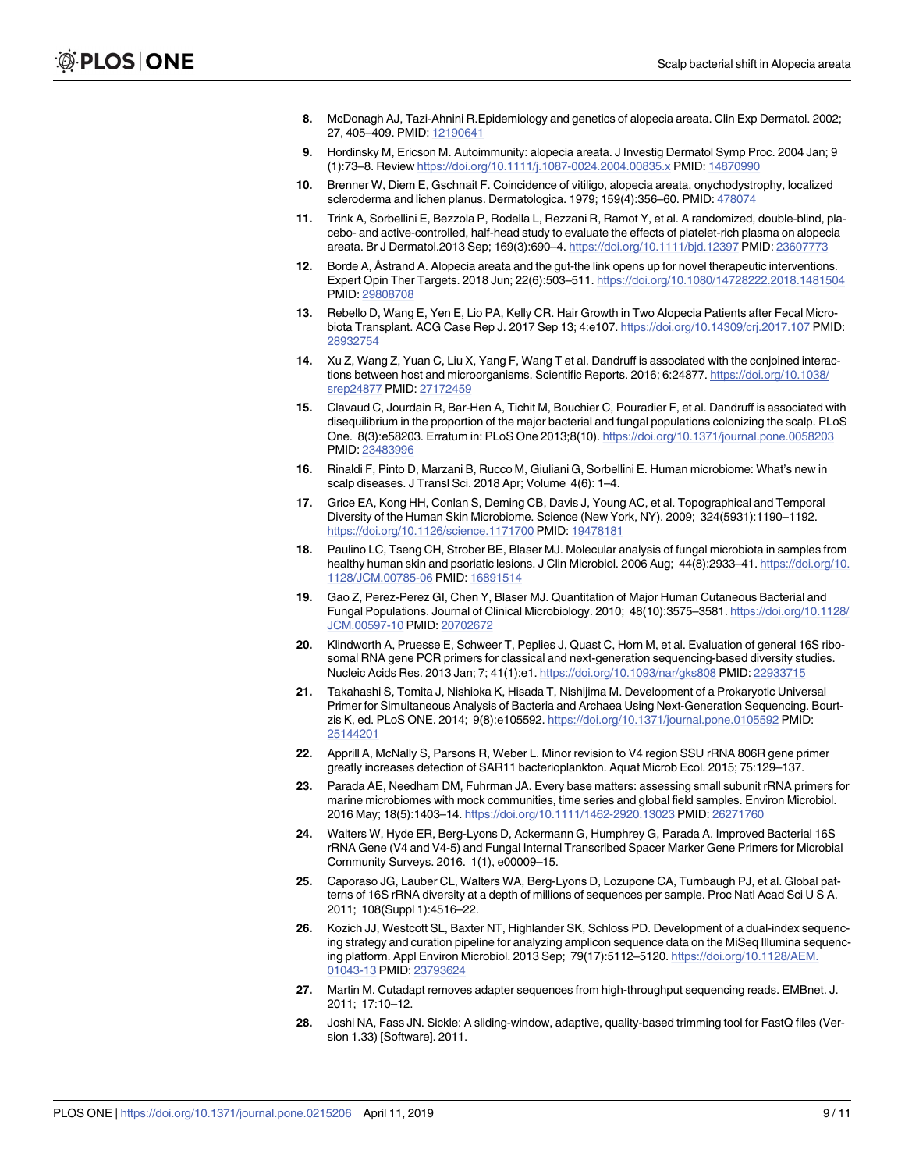- <span id="page-8-0"></span>**[8](#page-1-0).** McDonagh AJ, Tazi-Ahnini R.Epidemiology and genetics of alopecia areata. Clin Exp Dermatol. 2002; 27, 405–409. PMID: [12190641](http://www.ncbi.nlm.nih.gov/pubmed/12190641)
- **[9](#page-1-0).** Hordinsky M, Ericson M. Autoimmunity: alopecia areata. J Investig Dermatol Symp Proc. 2004 Jan; 9 (1):73–8. Review <https://doi.org/10.1111/j.1087-0024.2004.00835.x> PMID: [14870990](http://www.ncbi.nlm.nih.gov/pubmed/14870990)
- **10.** Brenner W, Diem E, Gschnait F. Coincidence of vitiligo, alopecia areata, onychodystrophy, localized scleroderma and lichen planus. Dermatologica. 1979; 159(4):356–60. PMID: [478074](http://www.ncbi.nlm.nih.gov/pubmed/478074)
- **[11](#page-1-0).** Trink A, Sorbellini E, Bezzola P, Rodella L, Rezzani R, Ramot Y, et al. A randomized, double-blind, placebo- and active-controlled, half-head study to evaluate the effects of platelet-rich plasma on alopecia areata. Br J Dermatol.2013 Sep; 169(3):690–4. <https://doi.org/10.1111/bjd.12397> PMID: [23607773](http://www.ncbi.nlm.nih.gov/pubmed/23607773)
- **[12](#page-1-0).** Borde A, Åstrand A. Alopecia areata and the gut-the link opens up for novel therapeutic interventions. Expert Opin Ther Targets. 2018 Jun; 22(6):503–511. <https://doi.org/10.1080/14728222.2018.1481504> PMID: [29808708](http://www.ncbi.nlm.nih.gov/pubmed/29808708)
- **[13](#page-1-0).** Rebello D, Wang E, Yen E, Lio PA, Kelly CR. Hair Growth in Two Alopecia Patients after Fecal Microbiota Transplant. ACG Case Rep J. 2017 Sep 13; 4:e107. <https://doi.org/10.14309/crj.2017.107> PMID: [28932754](http://www.ncbi.nlm.nih.gov/pubmed/28932754)
- **[14](#page-1-0).** Xu Z, Wang Z, Yuan C, Liu X, Yang F, Wang T et al. Dandruff is associated with the conjoined interactions between host and microorganisms. Scientific Reports. 2016; 6:24877. [https://doi.org/10.1038/](https://doi.org/10.1038/srep24877) [srep24877](https://doi.org/10.1038/srep24877) PMID: [27172459](http://www.ncbi.nlm.nih.gov/pubmed/27172459)
- **[15](#page-1-0).** Clavaud C, Jourdain R, Bar-Hen A, Tichit M, Bouchier C, Pouradier F, et al. Dandruff is associated with disequilibrium in the proportion of the major bacterial and fungal populations colonizing the scalp. PLoS One. 8(3):e58203. Erratum in: PLoS One 2013;8(10). <https://doi.org/10.1371/journal.pone.0058203> PMID: [23483996](http://www.ncbi.nlm.nih.gov/pubmed/23483996)
- **[16](#page-1-0).** Rinaldi F, Pinto D, Marzani B, Rucco M, Giuliani G, Sorbellini E. Human microbiome: What's new in scalp diseases. J Transl Sci. 2018 Apr; Volume 4(6): 1–4.
- **[17](#page-1-0).** Grice EA, Kong HH, Conlan S, Deming CB, Davis J, Young AC, et al. Topographical and Temporal Diversity of the Human Skin Microbiome. Science (New York, NY). 2009; 324(5931):1190–1192. <https://doi.org/10.1126/science.1171700> PMID: [19478181](http://www.ncbi.nlm.nih.gov/pubmed/19478181)
- **[18](#page-1-0).** Paulino LC, Tseng CH, Strober BE, Blaser MJ. Molecular analysis of fungal microbiota in samples from healthy human skin and psoriatic lesions. J Clin Microbiol. 2006 Aug; 44(8):2933–41. [https://doi.org/10.](https://doi.org/10.1128/JCM.00785-06) [1128/JCM.00785-06](https://doi.org/10.1128/JCM.00785-06) PMID: [16891514](http://www.ncbi.nlm.nih.gov/pubmed/16891514)
- **[19](#page-2-0).** Gao Z, Perez-Perez GI, Chen Y, Blaser MJ. Quantitation of Major Human Cutaneous Bacterial and Fungal Populations. Journal of Clinical Microbiology. 2010; 48(10):3575–3581. [https://doi.org/10.1128/](https://doi.org/10.1128/JCM.00597-10) [JCM.00597-10](https://doi.org/10.1128/JCM.00597-10) PMID: [20702672](http://www.ncbi.nlm.nih.gov/pubmed/20702672)
- **[20](#page-2-0).** Klindworth A, Pruesse E, Schweer T, Peplies J, Quast C, Horn M, et al. Evaluation of general 16S ribosomal RNA gene PCR primers for classical and next-generation sequencing-based diversity studies. Nucleic Acids Res. 2013 Jan; 7; 41(1):e1. <https://doi.org/10.1093/nar/gks808> PMID: [22933715](http://www.ncbi.nlm.nih.gov/pubmed/22933715)
- **[21](#page-2-0).** Takahashi S, Tomita J, Nishioka K, Hisada T, Nishijima M. Development of a Prokaryotic Universal Primer for Simultaneous Analysis of Bacteria and Archaea Using Next-Generation Sequencing. Bourtzis K, ed. PLoS ONE. 2014; 9(8):e105592. <https://doi.org/10.1371/journal.pone.0105592> PMID: [25144201](http://www.ncbi.nlm.nih.gov/pubmed/25144201)
- **[22](#page-2-0).** Apprill A, McNally S, Parsons R, Weber L. Minor revision to V4 region SSU rRNA 806R gene primer greatly increases detection of SAR11 bacterioplankton. Aquat Microb Ecol. 2015; 75:129–137.
- **23.** Parada AE, Needham DM, Fuhrman JA. Every base matters: assessing small subunit rRNA primers for marine microbiomes with mock communities, time series and global field samples. Environ Microbiol. 2016 May; 18(5):1403–14. <https://doi.org/10.1111/1462-2920.13023> PMID: [26271760](http://www.ncbi.nlm.nih.gov/pubmed/26271760)
- **[24](#page-2-0).** Walters W, Hyde ER, Berg-Lyons D, Ackermann G, Humphrey G, Parada A. Improved Bacterial 16S rRNA Gene (V4 and V4-5) and Fungal Internal Transcribed Spacer Marker Gene Primers for Microbial Community Surveys. 2016. 1(1), e00009–15.
- **[25](#page-2-0).** Caporaso JG, Lauber CL, Walters WA, Berg-Lyons D, Lozupone CA, Turnbaugh PJ, et al. Global patterns of 16S rRNA diversity at a depth of millions of sequences per sample. Proc Natl Acad Sci U S A. 2011; 108(Suppl 1):4516–22.
- **[26](#page-2-0).** Kozich JJ, Westcott SL, Baxter NT, Highlander SK, Schloss PD. Development of a dual-index sequencing strategy and curation pipeline for analyzing amplicon sequence data on the MiSeq Illumina sequencing platform. Appl Environ Microbiol. 2013 Sep; 79(17):5112–5120. [https://doi.org/10.1128/AEM.](https://doi.org/10.1128/AEM.01043-13) [01043-13](https://doi.org/10.1128/AEM.01043-13) PMID: [23793624](http://www.ncbi.nlm.nih.gov/pubmed/23793624)
- **[27](#page-2-0).** Martin M. Cutadapt removes adapter sequences from high-throughput sequencing reads. EMBnet. J. 2011; 17:10–12.
- **[28](#page-2-0).** Joshi NA, Fass JN. Sickle: A sliding-window, adaptive, quality-based trimming tool for FastQ files (Version 1.33) [Software]. 2011.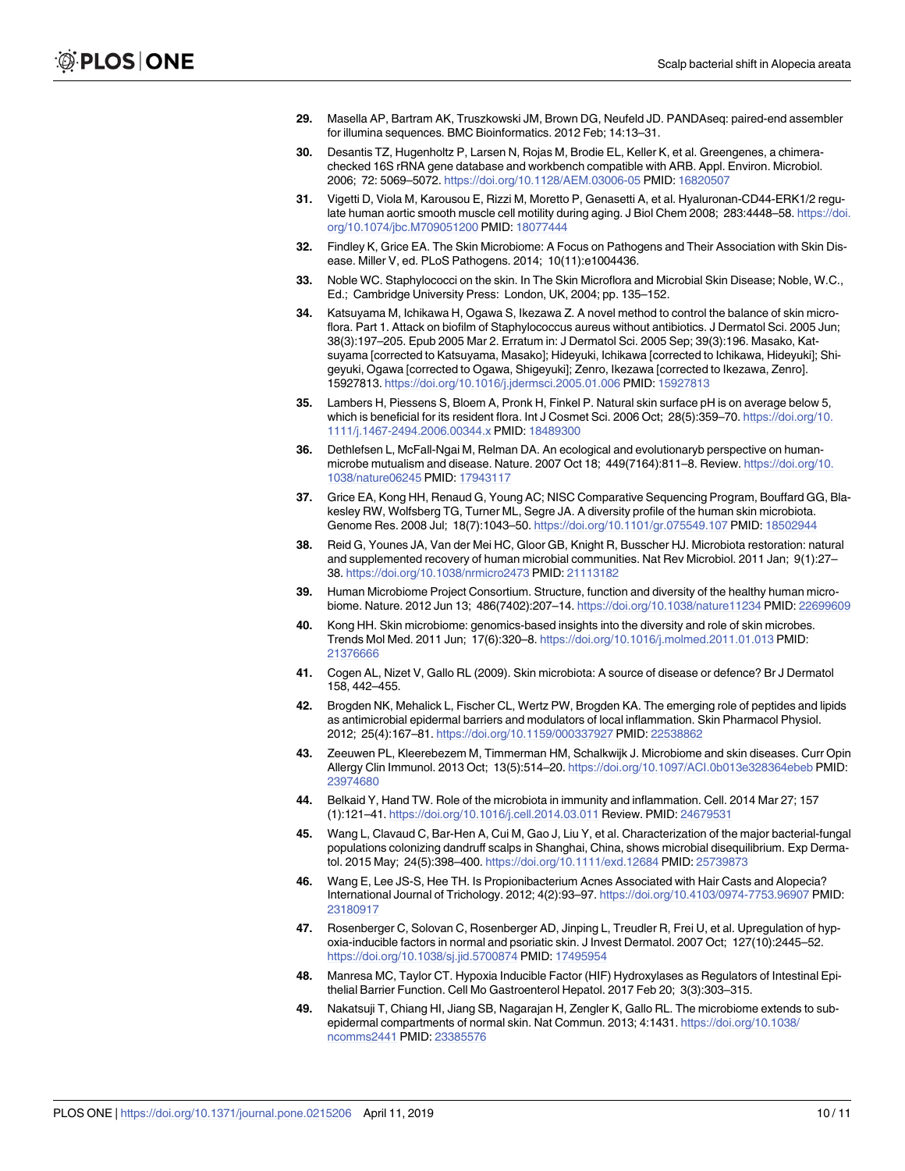- <span id="page-9-0"></span>**[29](#page-2-0).** Masella AP, Bartram AK, Truszkowski JM, Brown DG, Neufeld JD. PANDAseq: paired-end assembler for illumina sequences. BMC Bioinformatics. 2012 Feb; 14:13–31.
- **[30](#page-2-0).** Desantis TZ, Hugenholtz P, Larsen N, Rojas M, Brodie EL, Keller K, et al. Greengenes, a chimerachecked 16S rRNA gene database and workbench compatible with ARB. Appl. Environ. Microbiol. 2006; 72: 5069–5072. <https://doi.org/10.1128/AEM.03006-05> PMID: [16820507](http://www.ncbi.nlm.nih.gov/pubmed/16820507)
- **[31](#page-3-0).** Vigetti D, Viola M, Karousou E, Rizzi M, Moretto P, Genasetti A, et al. Hyaluronan-CD44-ERK1/2 regulate human aortic smooth muscle cell motility during aging. J Biol Chem 2008; 283:4448–58. [https://doi.](https://doi.org/10.1074/jbc.M709051200) [org/10.1074/jbc.M709051200](https://doi.org/10.1074/jbc.M709051200) PMID: [18077444](http://www.ncbi.nlm.nih.gov/pubmed/18077444)
- **[32](#page-5-0).** Findley K, Grice EA. The Skin Microbiome: A Focus on Pathogens and Their Association with Skin Disease. Miller V, ed. PLoS Pathogens. 2014; 10(11):e1004436.
- **[33](#page-5-0).** Noble WC. Staphylococci on the skin. In The Skin Microflora and Microbial Skin Disease; Noble, W.C., Ed.; Cambridge University Press: London, UK, 2004; pp. 135–152.
- **34.** Katsuyama M, Ichikawa H, Ogawa S, Ikezawa Z. A novel method to control the balance of skin microflora. Part 1. Attack on biofilm of Staphylococcus aureus without antibiotics. J Dermatol Sci. 2005 Jun; 38(3):197–205. Epub 2005 Mar 2. Erratum in: J Dermatol Sci. 2005 Sep; 39(3):196. Masako, Katsuyama [corrected to Katsuyama, Masako]; Hideyuki, Ichikawa [corrected to Ichikawa, Hideyuki]; Shigeyuki, Ogawa [corrected to Ogawa, Shigeyuki]; Zenro, Ikezawa [corrected to Ikezawa, Zenro]. 15927813. <https://doi.org/10.1016/j.jdermsci.2005.01.006> PMID: [15927813](http://www.ncbi.nlm.nih.gov/pubmed/15927813)
- **[35](#page-5-0).** Lambers H, Piessens S, Bloem A, Pronk H, Finkel P. Natural skin surface pH is on average below 5, which is beneficial for its resident flora. Int J Cosmet Sci. 2006 Oct; 28(5):359–70. [https://doi.org/10.](https://doi.org/10.1111/j.1467-2494.2006.00344.x) [1111/j.1467-2494.2006.00344.x](https://doi.org/10.1111/j.1467-2494.2006.00344.x) PMID: [18489300](http://www.ncbi.nlm.nih.gov/pubmed/18489300)
- **[36](#page-6-0).** Dethlefsen L, McFall-Ngai M, Relman DA. An ecological and evolutionaryb perspective on humanmicrobe mutualism and disease. Nature. 2007 Oct 18; 449(7164):811–8. Review. [https://doi.org/10.](https://doi.org/10.1038/nature06245) [1038/nature06245](https://doi.org/10.1038/nature06245) PMID: [17943117](http://www.ncbi.nlm.nih.gov/pubmed/17943117)
- **37.** Grice EA, Kong HH, Renaud G, Young AC; NISC Comparative Sequencing Program, Bouffard GG, Blakesley RW, Wolfsberg TG, Turner ML, Segre JA. A diversity profile of the human skin microbiota. Genome Res. 2008 Jul; 18(7):1043–50. <https://doi.org/10.1101/gr.075549.107> PMID: [18502944](http://www.ncbi.nlm.nih.gov/pubmed/18502944)
- **38.** Reid G, Younes JA, Van der Mei HC, Gloor GB, Knight R, Busscher HJ. Microbiota restoration: natural and supplemented recovery of human microbial communities. Nat Rev Microbiol. 2011 Jan; 9(1):27– 38. <https://doi.org/10.1038/nrmicro2473> PMID: [21113182](http://www.ncbi.nlm.nih.gov/pubmed/21113182)
- **[39](#page-6-0).** Human Microbiome Project Consortium. Structure, function and diversity of the healthy human microbiome. Nature. 2012 Jun 13; 486(7402):207–14. <https://doi.org/10.1038/nature11234> PMID: [22699609](http://www.ncbi.nlm.nih.gov/pubmed/22699609)
- **[40](#page-6-0).** Kong HH. Skin microbiome: genomics-based insights into the diversity and role of skin microbes. Trends Mol Med. 2011 Jun; 17(6):320–8. <https://doi.org/10.1016/j.molmed.2011.01.013> PMID: [21376666](http://www.ncbi.nlm.nih.gov/pubmed/21376666)
- **[41](#page-6-0).** Cogen AL, Nizet V, Gallo RL (2009). Skin microbiota: A source of disease or defence? Br J Dermatol 158, 442–455.
- **42.** Brogden NK, Mehalick L, Fischer CL, Wertz PW, Brogden KA. The emerging role of peptides and lipids as antimicrobial epidermal barriers and modulators of local inflammation. Skin Pharmacol Physiol. 2012; 25(4):167–81. <https://doi.org/10.1159/000337927> PMID: [22538862](http://www.ncbi.nlm.nih.gov/pubmed/22538862)
- **43.** Zeeuwen PL, Kleerebezem M, Timmerman HM, Schalkwijk J. Microbiome and skin diseases. Curr Opin Allergy Clin Immunol. 2013 Oct; 13(5):514–20. <https://doi.org/10.1097/ACI.0b013e328364ebeb> PMID: [23974680](http://www.ncbi.nlm.nih.gov/pubmed/23974680)
- **44.** Belkaid Y, Hand TW. Role of the microbiota in immunity and inflammation. Cell. 2014 Mar 27; 157 (1):121–41. <https://doi.org/10.1016/j.cell.2014.03.011> Review. PMID: [24679531](http://www.ncbi.nlm.nih.gov/pubmed/24679531)
- **[45](#page-6-0).** Wang L, Clavaud C, Bar-Hen A, Cui M, Gao J, Liu Y, et al. Characterization of the major bacterial-fungal populations colonizing dandruff scalps in Shanghai, China, shows microbial disequilibrium. Exp Dermatol. 2015 May; 24(5):398–400. <https://doi.org/10.1111/exd.12684> PMID: [25739873](http://www.ncbi.nlm.nih.gov/pubmed/25739873)
- **[46](#page-6-0).** Wang E, Lee JS-S, Hee TH. Is Propionibacterium Acnes Associated with Hair Casts and Alopecia? International Journal of Trichology. 2012; 4(2):93–97. <https://doi.org/10.4103/0974-7753.96907> PMID: [23180917](http://www.ncbi.nlm.nih.gov/pubmed/23180917)
- **[47](#page-6-0).** Rosenberger C, Solovan C, Rosenberger AD, Jinping L, Treudler R, Frei U, et al. Upregulation of hypoxia-inducible factors in normal and psoriatic skin. J Invest Dermatol. 2007 Oct; 127(10):2445–52. <https://doi.org/10.1038/sj.jid.5700874> PMID: [17495954](http://www.ncbi.nlm.nih.gov/pubmed/17495954)
- **[48](#page-6-0).** Manresa MC, Taylor CT. Hypoxia Inducible Factor (HIF) Hydroxylases as Regulators of Intestinal Epithelial Barrier Function. Cell Mo Gastroenterol Hepatol. 2017 Feb 20; 3(3):303–315.
- **[49](#page-6-0).** Nakatsuji T, Chiang HI, Jiang SB, Nagarajan H, Zengler K, Gallo RL. The microbiome extends to subepidermal compartments of normal skin. Nat Commun. 2013; 4:1431. [https://doi.org/10.1038/](https://doi.org/10.1038/ncomms2441) [ncomms2441](https://doi.org/10.1038/ncomms2441) PMID: [23385576](http://www.ncbi.nlm.nih.gov/pubmed/23385576)